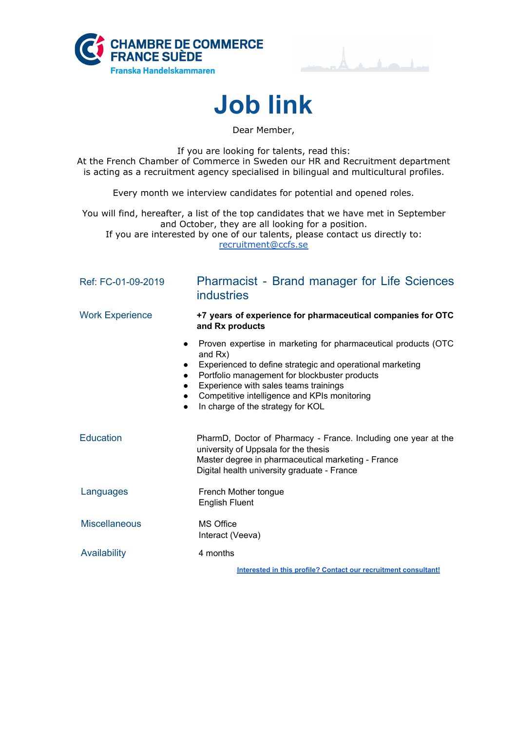





Dear Member,

If you are looking for talents, read this: At the French Chamber of Commerce in Sweden our HR and Recruitment department is acting as a recruitment agency specialised in bilingual and multicultural profiles.

Every month we interview candidates for potential and opened roles.

You will find, hereafter, a list of the top candidates that we have met in September and October, they are all looking for a position. If you are interested by one of our talents, please contact us directly to: [recruitment@ccfs.se](mailto:recruitment@ccfs.se)

| Ref: FC-01-09-2019                  | <b>Pharmacist - Brand manager for Life Sciences</b><br><b>industries</b>                                                                                                                                                                                                                                              |
|-------------------------------------|-----------------------------------------------------------------------------------------------------------------------------------------------------------------------------------------------------------------------------------------------------------------------------------------------------------------------|
| <b>Work Experience</b>              | +7 years of experience for pharmaceutical companies for OTC<br>and Rx products                                                                                                                                                                                                                                        |
| $\bullet$<br>$\bullet$<br>$\bullet$ | Proven expertise in marketing for pharmaceutical products (OTC<br>and Rx)<br>Experienced to define strategic and operational marketing<br>Portfolio management for blockbuster products<br>Experience with sales teams trainings<br>Competitive intelligence and KPIs monitoring<br>In charge of the strategy for KOL |
| <b>Education</b>                    | PharmD, Doctor of Pharmacy - France. Including one year at the<br>university of Uppsala for the thesis<br>Master degree in pharmaceutical marketing - France<br>Digital health university graduate - France                                                                                                           |
| Languages                           | French Mother tongue<br><b>English Fluent</b>                                                                                                                                                                                                                                                                         |
| <b>Miscellaneous</b>                | <b>MS Office</b><br>Interact (Veeva)                                                                                                                                                                                                                                                                                  |
| Availability                        | 4 months                                                                                                                                                                                                                                                                                                              |
|                                     | Interested in this profile? Contact our recruitment consultant!                                                                                                                                                                                                                                                       |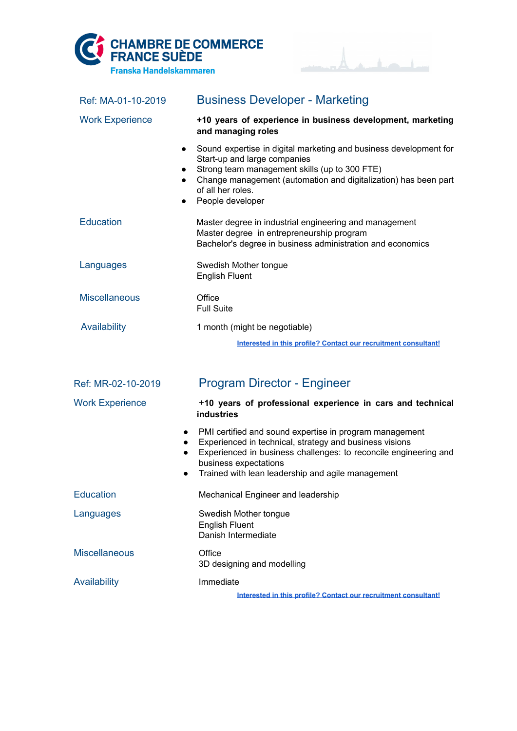



| Ref: MA-01-10-2019     | <b>Business Developer - Marketing</b>                                                                                                                                                                                                                                                                              |
|------------------------|--------------------------------------------------------------------------------------------------------------------------------------------------------------------------------------------------------------------------------------------------------------------------------------------------------------------|
| <b>Work Experience</b> | +10 years of experience in business development, marketing<br>and managing roles                                                                                                                                                                                                                                   |
|                        | Sound expertise in digital marketing and business development for<br>$\bullet$<br>Start-up and large companies<br>Strong team management skills (up to 300 FTE)<br>$\bullet$<br>Change management (automation and digitalization) has been part<br>$\bullet$<br>of all her roles.<br>People developer<br>$\bullet$ |
| <b>Education</b>       | Master degree in industrial engineering and management<br>Master degree in entrepreneurship program<br>Bachelor's degree in business administration and economics                                                                                                                                                  |
| Languages              | Swedish Mother tongue<br><b>English Fluent</b>                                                                                                                                                                                                                                                                     |
| <b>Miscellaneous</b>   | Office<br><b>Full Suite</b>                                                                                                                                                                                                                                                                                        |
| Availability           | 1 month (might be negotiable)                                                                                                                                                                                                                                                                                      |
|                        | Interested in this profile? Contact our recruitment consultant!                                                                                                                                                                                                                                                    |
|                        |                                                                                                                                                                                                                                                                                                                    |
| Ref: MR-02-10-2019     | <b>Program Director - Engineer</b>                                                                                                                                                                                                                                                                                 |
| <b>Work Experience</b> | +10 years of professional experience in cars and technical<br><b>industries</b>                                                                                                                                                                                                                                    |
|                        | PMI certified and sound expertise in program management<br>$\bullet$<br>Experienced in technical, strategy and business visions<br>$\bullet$<br>Experienced in business challenges: to reconcile engineering and<br>$\bullet$<br>business expectations<br>Trained with lean leadership and agile management        |
| <b>Education</b>       | Mechanical Engineer and leadership                                                                                                                                                                                                                                                                                 |
| Languages              | Swedish Mother tongue<br><b>English Fluent</b><br>Danish Intermediate                                                                                                                                                                                                                                              |
| <b>Miscellaneous</b>   | Office<br>3D designing and modelling                                                                                                                                                                                                                                                                               |
| <b>Availability</b>    | Immediate<br>Interested in this profile? Contact our recruitment consultant!                                                                                                                                                                                                                                       |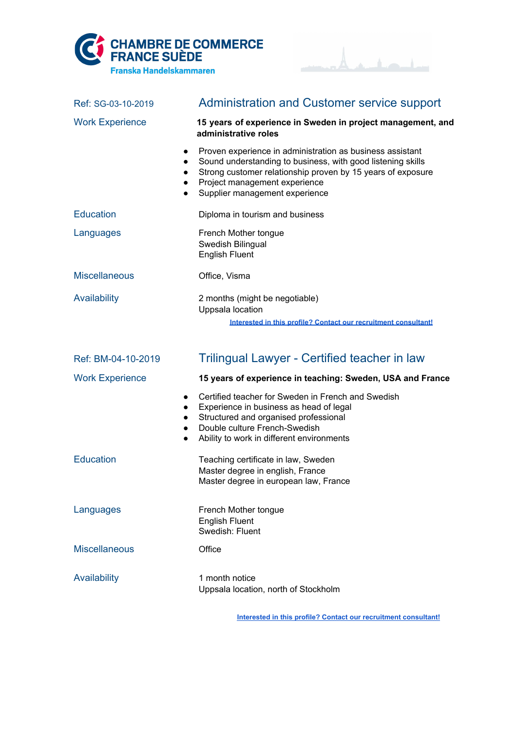



| Ref: SG-03-10-2019                                            | <b>Administration and Customer service support</b>                                                                                                                                                                                                         |
|---------------------------------------------------------------|------------------------------------------------------------------------------------------------------------------------------------------------------------------------------------------------------------------------------------------------------------|
| <b>Work Experience</b>                                        | 15 years of experience in Sweden in project management, and<br>administrative roles                                                                                                                                                                        |
| $\bullet$<br>$\bullet$<br>$\bullet$<br>$\bullet$<br>$\bullet$ | Proven experience in administration as business assistant<br>Sound understanding to business, with good listening skills<br>Strong customer relationship proven by 15 years of exposure<br>Project management experience<br>Supplier management experience |
| <b>Education</b>                                              | Diploma in tourism and business                                                                                                                                                                                                                            |
| Languages                                                     | French Mother tongue<br>Swedish Bilingual<br><b>English Fluent</b>                                                                                                                                                                                         |
| <b>Miscellaneous</b>                                          | Office, Visma                                                                                                                                                                                                                                              |
| Availability                                                  | 2 months (might be negotiable)<br>Uppsala location<br>Interested in this profile? Contact our recruitment consultant!                                                                                                                                      |
| Ref: BM-04-10-2019                                            | Trilingual Lawyer - Certified teacher in law                                                                                                                                                                                                               |
| <b>Work Experience</b>                                        |                                                                                                                                                                                                                                                            |
|                                                               | 15 years of experience in teaching: Sweden, USA and France                                                                                                                                                                                                 |
| $\bullet$<br>$\bullet$<br>$\bullet$<br>$\bullet$<br>$\bullet$ | Certified teacher for Sweden in French and Swedish<br>Experience in business as head of legal<br>Structured and organised professional<br>Double culture French-Swedish<br>Ability to work in different environments                                       |
| <b>Education</b>                                              | Teaching certificate in law, Sweden<br>Master degree in english, France<br>Master degree in european law, France                                                                                                                                           |
| Languages                                                     | French Mother tongue<br><b>English Fluent</b><br>Swedish: Fluent                                                                                                                                                                                           |
| <b>Miscellaneous</b>                                          | Office                                                                                                                                                                                                                                                     |

**Interested in this profile? Contact our [recruitment](mailto:recruitment@ccfs.se) consultant!**